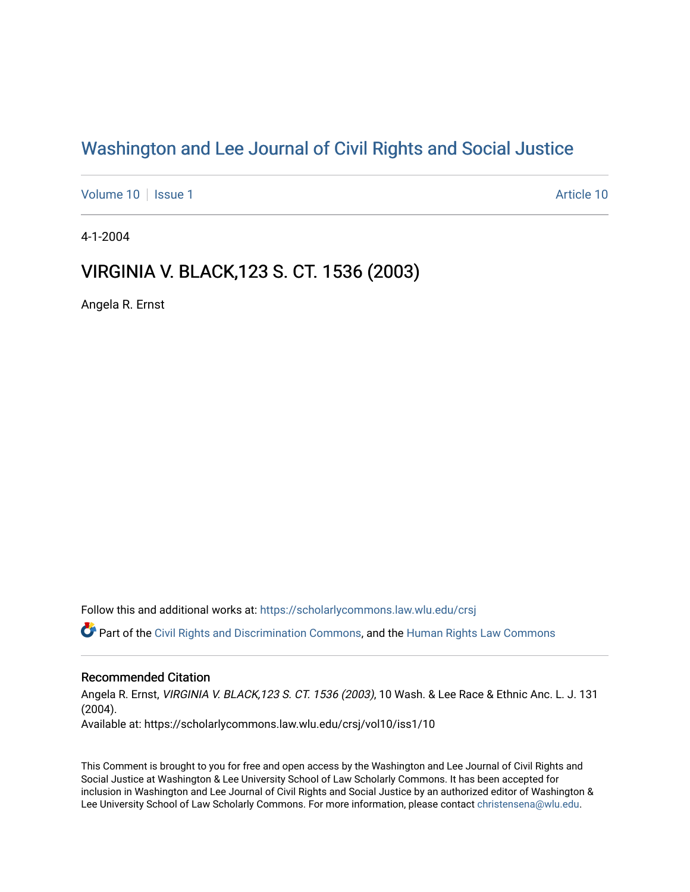# [Washington and Lee Journal of Civil Rights and Social Justice](https://scholarlycommons.law.wlu.edu/crsj)

[Volume 10](https://scholarlycommons.law.wlu.edu/crsj/vol10) | [Issue 1](https://scholarlycommons.law.wlu.edu/crsj/vol10/iss1) [Article 10](https://scholarlycommons.law.wlu.edu/crsj/vol10/iss1/10) | Article 10 | Article 10 | Article 10 | Article 10

4-1-2004

# VIRGINIA V. BLACK, 123 S. CT. 1536 (2003)

Angela R. Ernst

Follow this and additional works at: [https://scholarlycommons.law.wlu.edu/crsj](https://scholarlycommons.law.wlu.edu/crsj?utm_source=scholarlycommons.law.wlu.edu%2Fcrsj%2Fvol10%2Fiss1%2F10&utm_medium=PDF&utm_campaign=PDFCoverPages) 

Part of the [Civil Rights and Discrimination Commons,](http://network.bepress.com/hgg/discipline/585?utm_source=scholarlycommons.law.wlu.edu%2Fcrsj%2Fvol10%2Fiss1%2F10&utm_medium=PDF&utm_campaign=PDFCoverPages) and the [Human Rights Law Commons](http://network.bepress.com/hgg/discipline/847?utm_source=scholarlycommons.law.wlu.edu%2Fcrsj%2Fvol10%2Fiss1%2F10&utm_medium=PDF&utm_campaign=PDFCoverPages)

## Recommended Citation

Angela R. Ernst, VIRGINIA V. BLACK, 123 S. CT. 1536 (2003), 10 Wash. & Lee Race & Ethnic Anc. L. J. 131 (2004). Available at: https://scholarlycommons.law.wlu.edu/crsj/vol10/iss1/10

This Comment is brought to you for free and open access by the Washington and Lee Journal of Civil Rights and Social Justice at Washington & Lee University School of Law Scholarly Commons. It has been accepted for inclusion in Washington and Lee Journal of Civil Rights and Social Justice by an authorized editor of Washington & Lee University School of Law Scholarly Commons. For more information, please contact [christensena@wlu.edu](mailto:christensena@wlu.edu).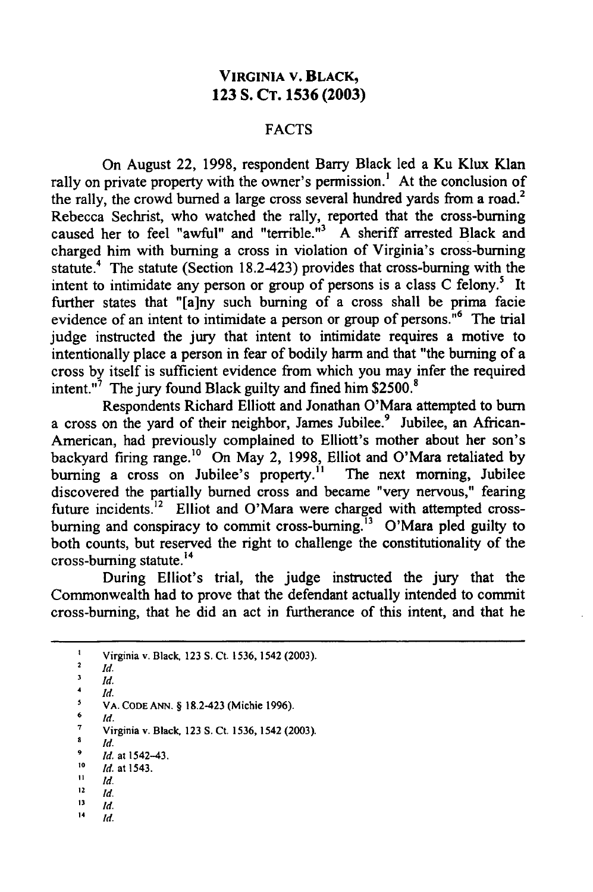## **VIRGINIA V. BLACK, 123 S. CT. 1536 (2003)**

### **FACTS**

On August 22, 1998, respondent Barry Black led a Ku Klux Klan rally on private property with the owner's permission.<sup>1</sup> At the conclusion of the rally, the crowd burned a large cross several hundred yards from a road.<sup>2</sup> Rebecca Sechrist, who watched the rally, reported that the cross-burning caused her to feel "awful" and "terrible."3 A sheriff arrested Black and charged him with burning a cross in violation of Virginia's cross-burning statute.<sup>4</sup> The statute (Section 18.2-423) provides that cross-burning with the intent to intimidate any person or group of persons is a class C felony.<sup>5</sup> It further states that "[a]ny such burning of a cross shall be prima facie evidence of an intent to intimidate a person or group of persons.<sup>16</sup> The trial judge instructed the jury that intent to intimidate requires a motive to intentionally place a person in fear of bodily harm and that "the burning of a cross by itself is sufficient evidence from which you may infer the required intent."7 The jury found Black guilty and fined him **\$2500.8**

Respondents Richard Elliott and Jonathan O'Mara attempted to burn a cross on the yard of their neighbor, James Jubilee.<sup>9</sup> Jubilee, an African-American, had previously complained to Elliott's mother about her son's backyard firing range.'0 On May 2, 1998, Elliot and O'Mara retaliated by burning a cross on Jubilee's property.<sup>11</sup> The next morning, Jubilee discovered the partially burned cross and became "very nervous," fearing future incidents.<sup>12</sup> Elliot and O'Mara were charged with attempted crossburning and conspiracy to commit cross-burning.<sup>13</sup> O'Mara pled guilty to both counts, but reserved the right to challenge the constitutionality of the cross-burning statute. $^{14}$ 

During Elliot's trial, the judge instructed the jury that the Commonwealth had to prove that the defendant actually intended to commit cross-burning, that he did an act in furtherance of this intent, and that he

**I** Virginia v. Black, **123** S. Ct. 1536, 1542 (2003).

**2** Id.

 $\frac{3}{4}$   $\frac{1}{4}$ 

 $\frac{4}{5}$  *Id.* VA. **CODE ANN. §** 18.2-423 (Michie 1996).

 $\frac{6}{10}$ 

**7** Virginia v. Black **123 S.** Ct. **1536,** 1542 (2003).

s **Id.**

**Id.** at 1542-43. **to** Id. at 1543.

- $11$  *Id.*
- $12$  **Id.**
- $13$  *Id.*
- $14$  *Id.*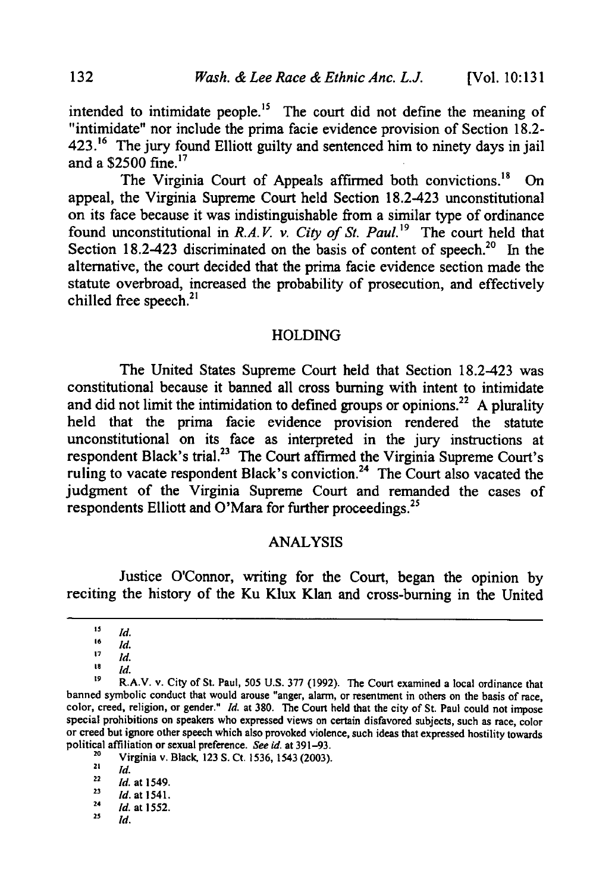intended to intimidate people.<sup>15</sup> The court did not define the meaning of "intimidate" nor include the prima facie evidence provision of Section 18.2- 423.<sup>16</sup> The jury found Elliott guilty and sentenced him to ninety days in jail and a  $$2500$  fine.<sup>17</sup>

The Virginia Court of Appeals affirmed both convictions.<sup>18</sup> On appeal, the Virginia Supreme Court held Section 18.2-423 unconstitutional on its face because it was indistinguishable from a similar type of ordinance found unconstitutional in *R.A. V. v. City of St. Paul.'9* The court held that Section 18.2-423 discriminated on the basis of content of speech.<sup>20</sup> In the alternative, the court decided that the prima facie evidence section made the statute overbroad, increased the probability of prosecution, and effectively chilled free speech.<sup>2</sup>

#### HOLDING

The United States Supreme Court held that Section 18.2423 was constitutional because it banned all cross burning with intent to intimidate and did not limit the intimidation to defined groups or opinions.<sup>22</sup> A plurality held that the prima facie evidence provision rendered the statute unconstitutional on its face as interpreted in the jury instructions at respondent Black's trial.<sup>23</sup> The Court affirmed the Virginia Supreme Court's ruling to vacate respondent Black's conviction.<sup>24</sup> The Court also vacated the judgment of the Virginia Supreme Court and remanded the cases of respondents Elliott and O'Mara for further proceedings.<sup>25</sup>

#### ANALYSIS

Justice O'Connor, writing for the Court, began the opinion **by** reciting the history of the Ku Klux Klan and cross-burning in the United

**<sup>&#</sup>x27;** *5 Id .* **<sup>16</sup>***Id.*

 $17 \quad \overline{Id}$ .

 $^{18}$  *Id.* 

**<sup>19</sup>**R.A.V. v. City of St. Paul, **505 U.S. 377 (1992).** The Court examined a local ordinance that banned symbolic conduct that would arouse "anger, alarm, or resentment in others on the basis of race, color, creed, religion, or gender." *Id.* at **380.** The Court held that the city of St. Paul could not impose special prohibitions on speakers who expressed views on certain disfavored subjects, such as race, color or creed but ignore other speech which also provoked violence, such ideas that expressed hostility towards political affiliation or sexual preference. *See id.* at **391-93.**

**<sup>20</sup>** Virginia v. Black **123 S.** Ct. **1536,** 1543 **(2003).**

 $21$  *Id.* 

**<sup>22</sup>** *Id.* at 1549.

**<sup>23</sup>** *d.* at 1541.

<sup>24</sup> *Id.* at **1552.**

 $25$  *Id.*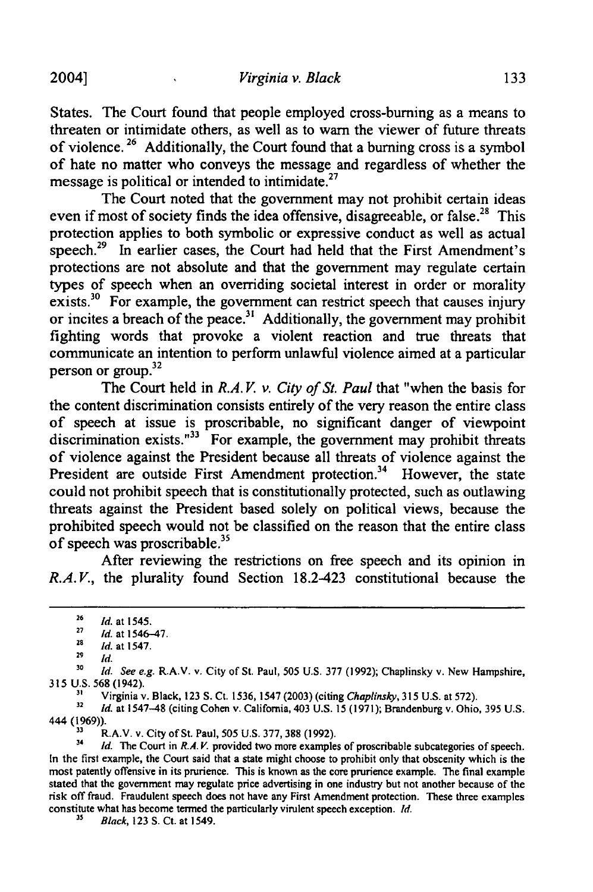**2004]**

States. The Court found that people employed cross-burning as a means to threaten or intimidate others, as well as to warn the viewer of future threats of violence.<sup>26</sup> Additionally, the Court found that a burning cross is a symbol of hate no matter who conveys the message and regardless of whether the message is political or intended to intimidate. $27$ 

The Court noted that the government may not prohibit certain ideas even if most of society finds the idea offensive, disagreeable, or false.<sup>28</sup> This protection applies to both symbolic or expressive conduct as well as actual speech.<sup>29</sup> In earlier cases, the Court had held that the First Amendment's protections are not absolute and that the government may regulate certain types of speech when an overriding societal interest in order or morality exists.<sup>30</sup> For example, the government can restrict speech that causes injury or incites a breach of the peace.<sup>31</sup> Additionally, the government may prohibit fighting words that provoke a violent reaction and true threats that communicate an intention to perform unlawful violence aimed at a particular person or group.<sup>32</sup>

The Court held in *R.A.V. v. City of St. Paul* that "when the basis for the content discrimination consists entirely of the very reason the entire class of speech at issue is proscribable, no significant danger of viewpoint discrimination exists. $133$  For example, the government may prohibit threats of violence against the President because all threats of violence against the President are outside First Amendment protection.<sup>34</sup> However, the state could not prohibit speech that is constitutionally protected, such as outlawing threats against the President based solely on political views, because the prohibited speech would not be classified on the reason that the entire class of speech was proscribable. $35$ 

After reviewing the restrictions on free speech and its opinion in *R.A.V.*, the plurality found Section 18.2-423 constitutional because the

**30** *Id. See e.g.* R.A.V. v. City of St. Paul, **505** U.S. **377 (1992);** Chaplinsky v. New Hampshire, 315 U.S. 568 (1942).<br><sup>31</sup> Virginia v. Black, 123 S. Ct. 1536, 1547 (2003) (citing *Chaplinsky*, 315 U.S. at 572).<br><sup>32</sup> Id. at 1547–48 (citing Cohen v. California, 403 U.S. 15 (1971); Brandenburg v. Ohio, 395 U.S.

444 (1969)).

**33** R.A.V. v. City of St. Paul, 505 U.S. 377, 388 (1992).

<sup>34</sup> *Id.* The Court in *R.A.V.* provided two more examples of proscribable subcategories of speech. In the first example, the Court said that a state might choose to prohibit only that obscenity which is the most patently offensive in its prurience. This is known as the core prurience example. The final example stated that the government may regulate price advertising in one industry but not another because of the risk off fraud. Fraudulent speech does not have any First Amendment protection. These three examples constitute what has become termed the particularly virulent speech exception. Id.

*25* Black, **123 S.** Ct. at 1549.

**<sup>26</sup>** *Id.* at 1545.

**<sup>27</sup>** *Id.* at 1546-47.

**<sup>28</sup>** *Id.* at 1547.

**<sup>29</sup>** *Id.*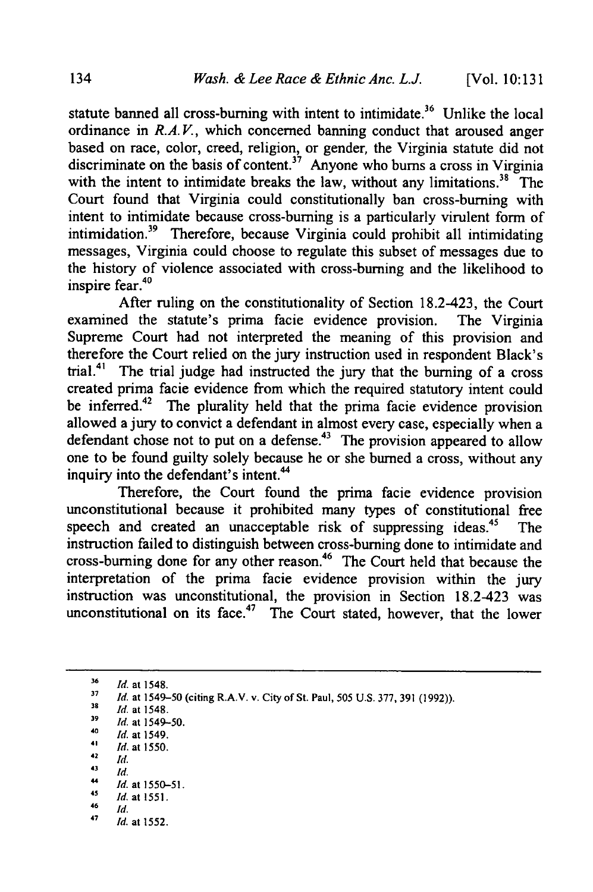statute banned all cross-burning with intent to intimidate.<sup>36</sup> Unlike the local ordinance in *R.A.V.*, which concerned banning conduct that aroused anger based on race, color, creed, religion, or gender, the Virginia statute did not discriminate on the basis of content.<sup>37</sup> Anyone who burns a cross in Virginia with the intent to intimidate breaks the law, without any limitations.<sup>38</sup> The Court found that Virginia could constitutionally ban cross-burning with intent to intimidate because cross-burning is a particularly virulent form of intimidation.39 Therefore, because Virginia could prohibit all intimidating messages, Virginia could choose to regulate this subset of messages due to the history of violence associated with cross-burning and the likelihood to inspire fear.4°

After ruling on the constitutionality of Section 18.2-423, the Court examined the statute's prima facie evidence provision. The Virginia Supreme Court had not interpreted the meaning of this provision and therefore the Court relied on the jury instruction used in respondent Black's trial.<sup>41</sup> The trial judge had instructed the jury that the burning of a cross created prima facie evidence from which the required statutory intent could be inferred.<sup>42</sup> The plurality held that the prima facie evidence provision allowed a jury to convict a defendant in almost every case, especially when a defendant chose not to put on a defense.<sup>43</sup> The provision appeared to allow one to be found guilty solely because he or she burned a cross, without any inquiry into the defendant's intent.<sup>44</sup>

Therefore, the Court found the prima facie evidence provision unconstitutional because it prohibited many types of constitutional free speech and created an unacceptable risk of suppressing ideas.<sup>45</sup> The instruction failed to distinguish between cross-burning done to intimidate and cross-burning done for any other reason.<sup>46</sup> The Court held that because the interpretation of the prima facie evidence provision within the jury instruction was unconstitutional, the provision in Section 18.2-423 was unconstitutional on its face.<sup>47</sup> The Court stated, however, that the lower

 $42$  *Id.*  $43$  *id.* 

**"** *Id.* at **1550-51.** *<sup>45</sup>Id.* at 1551.

*47 Id.* at 1552.

**<sup>36</sup>** *Id.* at 1548.

*<sup>37</sup> Id.* at 1549-50 (citing RA. v. City of St. Paul, 505 U.S. 377, 391 (1992)). *<sup>39</sup>Id.* at 1548.

**<sup>39</sup>***Id.* at 1549-50.

<sup>40</sup>*Id.* at 1549.

*<sup>41</sup> id.* at 1550.

 $\frac{46}{47}$  *Id.*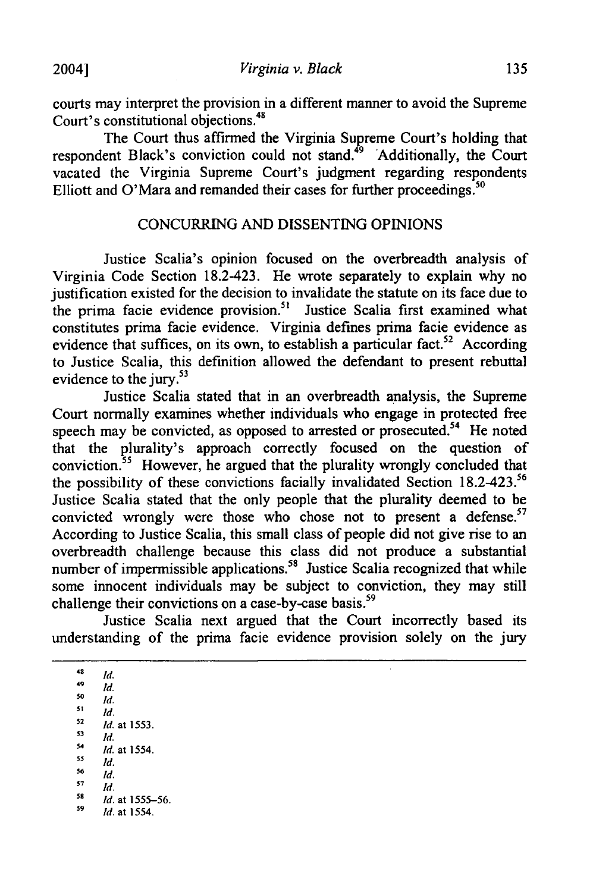courts may interpret the provision in a different manner to avoid the Supreme Court's constitutional objections.48

The Court thus affirmed the Virginia Supreme Court's holding that respondent Black's conviction could not stand. **9** 'Additionally, the Court vacated the Virginia Supreme Court's judgment regarding respondents Elliott and O'Mara and remanded their cases for further proceedings.<sup>50</sup>

#### CONCURRING AND DISSENTING OPINIONS

Justice Scalia's opinion focused on the overbreadth analysis of Virginia Code Section 18.2-423. He wrote separately to explain why no justification existed for the decision to invalidate the statute on its face due to the prima facie evidence provision.<sup>51</sup> Justice Scalia first examined what constitutes prima facie evidence. Virginia defines prima facie evidence as evidence that suffices, on its own, to establish a particular fact.<sup>52</sup> According to Justice Scalia, this definition allowed the defendant to present rebuttal evidence to the jury.<sup>53</sup>

Justice Scalia stated that in an overbreadth analysis, the Supreme Court normally examines whether individuals who engage in protected free speech may be convicted, as opposed to arrested or prosecuted.<sup>54</sup> He noted that the plurality's approach correctly focused on the question of conviction. 55 However, he argued that the plurality wrongly concluded that the possibility of these convictions facially invalidated Section 18.2-423.<sup>56</sup> Justice Scalia stated that the only people that the plurality deemed to be convicted wrongly were those who chose not to present a defense.<sup>57</sup> According to Justice Scalia, this small class of people did not give rise to an overbreadth challenge because this class did not produce a substantial number of impermissible applications.<sup>58</sup> Justice Scalia recognized that while some innocent individuals may be subject to conviction, they may still challenge their convictions on a case-by-case basis.<sup>59</sup>

Justice Scalia next argued that the Court incorrectly based its understanding of the prima facie evidence provision solely on the jury

 $48$  *Id.*  $\frac{49}{50}$  *Id.* 

- **51** *Id.*
- 52 *Id.* at 1553.
- $\frac{53}{54}$  *Id.*  $\frac{54}{55}$  *Id.* at 1554.
- **55** *Id.*
- **56** *Id.*
- **<sup>57</sup>***Id.*
- **59** *Id.* at 1555-56.
- *59 d.* at 1554.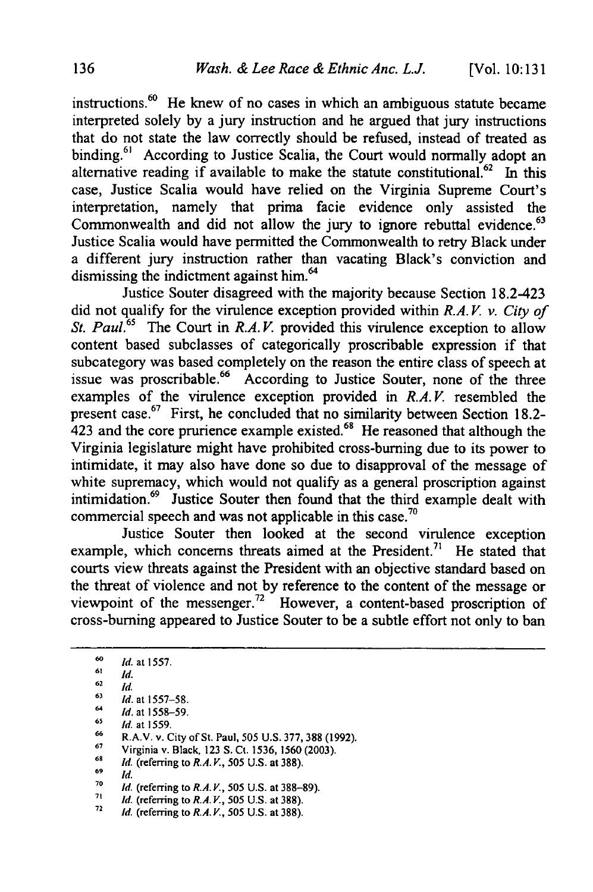instructions. 60 He knew of no cases in which an ambiguous statute became interpreted solely by a jury instruction and he argued that jury instructions that do not state the law correctly should be refused, instead of treated as binding.<sup>61</sup> According to Justice Scalia, the Court would normally adopt ar alternative reading if available to make the statute constitutional.<sup>62</sup> In this case, Justice Scalia would have relied on the Virginia Supreme Court's interpretation, namely that prima facie evidence only assisted the Commonwealth and did not allow the jury to ignore rebuttal evidence.<sup>63</sup> Justice Scalia would have permitted the Commonwealth to retry Black under a different jury instruction rather than vacating Black's conviction and dismissing the indictment against him.<sup>64</sup>

Justice Souter disagreed with the majority because Section 18.2-423 did not qualify for the virulence exception provided within *R.A. V. v. City of St. Paul.*<sup>65</sup> The Court in *R.A.V.* provided this virulence exception to allow content based subclasses of categorically proscribable expression if that subcategory was based completely on the reason the entire class of speech at issue was proscribable.<sup>66</sup> According to Justice Souter, none of the three examples of the virulence exception provided in *R.A.V.* resembled the present case.<sup>67</sup> First, he concluded that no similarity between Section 18.2-423 and the core prurience example existed.<sup>68</sup> He reasoned that although the Virginia legislature might have prohibited cross-burning due to its power to intimidate, it may also have done so due to disapproval of the message of white supremacy, which would not qualify as a general proscription against intimidation.69 Justice Souter then found that the third example dealt with commercial speech and was not applicable in this case.<sup>70</sup>

Justice Souter then looked at the second virulence exception example, which concerns threats aimed at the President.<sup>71</sup> He stated that courts view threats against the President with an objective standard based on the threat of violence and not by reference to the content of the message or viewpoint of the messenger.<sup>72</sup> However, a content-based proscription of cross-burning appeared to Justice Souter to be a subtle effort not only to ban

- **67** Virginia v. Black, 123 **S.** Ct. 1536, 1560 (2003). *<sup>68</sup>Id.* (referring to *R.A. V.,* **505 U.S.** at **388).**
- **69** *Id.*
- 
- **70** *Id.* (referring to *R.A. V.,* 505 U.S. at 388-89).
- *71 Id.* (referring to *R.A. V.,* 505 U.S. at **388).**
- *72 Id.* (referring to *R.A. V., 505* **U.S.** at 388).

**<sup>60</sup>** *Id.* at 1557.

**<sup>61</sup>** *Id.*

**<sup>62</sup>** *Id.*

**<sup>63</sup>** *Id.* at 1557-58.

*<sup>64</sup> Id.* at 1558-59. **65** *Id.* at 1559.

**<sup>66</sup>**RA. v. City of St. Paul, 505 U.S. 377, **388** (1992).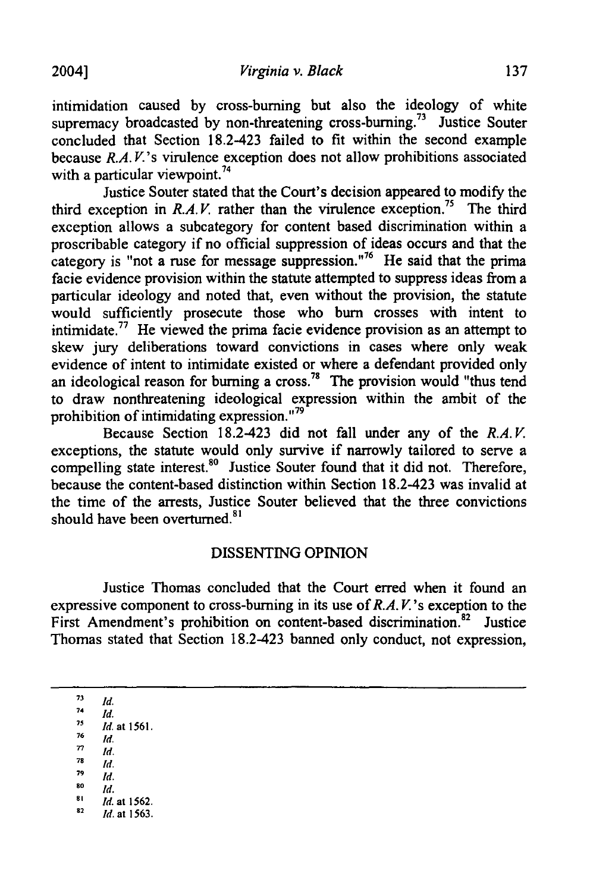intimidation caused by cross-burning but also the ideology of white supremacy broadcasted by non-threatening cross-burning.<sup>73</sup> Justice Souter concluded that Section 18.2-423 failed to fit within the second example because *R.A. V's* virulence exception does not allow prohibitions associated with a particular viewpoint.<sup>74</sup>

Justice Souter stated that the Court's decision appeared to modify the third exception in  $R.A.V.$  rather than the virulence exception.<sup>75</sup> The third exception allows a subcategory for content based discrimination within a proscribable category if no official suppression of ideas occurs and that the category is "not a ruse for message suppression."<sup>76</sup> He said that the prima facie evidence provision within the statute attempted to suppress ideas from a particular ideology and noted that, even without the provision, the statute would sufficiently prosecute those who bum crosses with intent to intimidate.<sup>77</sup> He viewed the prima facie evidence provision as an attempt to skew jury deliberations toward convictions in cases where only weak evidence of intent to intimidate existed or where a defendant provided only an ideological reason for burning a cross.<sup>78</sup> The provision would "thus tend to draw nonthreatening ideological expression within the ambit of the **79** prohibition of intimidating expression.<sup>"79</sup>

Because Section 18.2-423 did not fall under any of the *R.A. V.* exceptions, the statute would only survive if narrowly tailored to serve a compelling state interest.<sup>80</sup> Justice Souter found that it did not. Therefore, because the content-based distinction within Section 18.2-423 was invalid at the time of the arrests, Justice Souter believed that the three convictions should have been overturned.<sup>81</sup>

### DISSENTING OPINION

Justice Thomas concluded that the Court erred when it found an expressive component to cross-burning in its use of *R.A. V's* exception to the First Amendment's prohibition on content-based discrimination.<sup>82</sup> Justice Thomas stated that Section 18.2-423 banned only conduct, not expression,

**73** *Id.*  $\frac{74}{75}$  *Id. <sup>75</sup>Id.* at 1561.  $\frac{76}{77}$  *Id. 77 Id.*  $\frac{78}{79}$  *Id.* **<sup>79</sup>***Id.* **<sup>0</sup>***ld.*  $^{81}$  *Id.* at 1562. *82 Id.* at **1563.**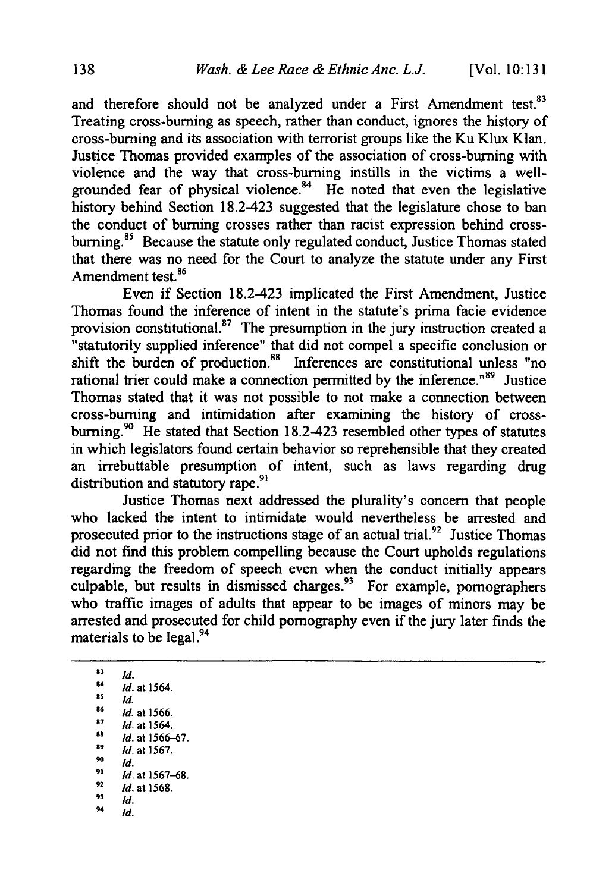and therefore should not be analyzed under a First Amendment test.<sup>83</sup> Treating cross-burning as speech, rather than conduct, ignores the history of cross-burning and its association with terrorist groups like the Ku Klux Klan. Justice Thomas provided examples of the association of cross-burning with violence and the way that cross-burning instills in the victims a wellgrounded fear of physical violence. $84$  He noted that even the legislative history behind Section 18.2-423 suggested that the legislature chose to ban the conduct of burning crosses rather than racist expression behind crossburning.<sup>85</sup> Because the statute only regulated conduct, Justice Thomas stated that there was no need for the Court to analyze the statute under any First Amendment test.<sup>86</sup>

Even if Section 18.2-423 implicated the First Amendment, Justice Thomas found the inference of intent in the statute's prima facie evidence provision constitutional.<sup>87</sup> The presumption in the jury instruction created a "statutorily supplied inference" that did not compel a specific conclusion or shift the burden of production.<sup>88</sup> Inferences are constitutional unless "no rational trier could make a connection permitted by the inference.<sup>189</sup> Justice Thomas stated that it was not possible to not make a connection between cross-burning and intimidation after examining the history of crossburning.<sup>90</sup> He stated that Section 18.2-423 resembled other types of statutes in which legislators found certain behavior so reprehensible that they created an irrebuttable presumption of intent, such as laws regarding drug distribution and statutory rape.<sup>91</sup>

Justice Thomas next addressed the plurality's concern that people who lacked the intent to intimidate would nevertheless be arrested and prosecuted prior to the instructions stage of an actual trial.<sup>92</sup> Justice Thomas did not find this problem compelling because the Court upholds regulations regarding the freedom of speech even when the conduct initially appears culpable, but results in dismissed charges.<sup>93</sup> For example, pornographers who traffic images of adults that appear to be images of minors may be arrested and prosecuted for child pornography even if the jury later finds the materials to be legal.<sup>94</sup>

**93** *Id.* **84 Id.** at 1564.  $\overline{1}$  **s5**  $\overline{1}$  *Id.* **86** Id. at **1566. 87** Id. at 1564. **8s** Id. at **1566-67. 89 Id.** at **1567.**  $^{90}$  *Id.* **91 Id.** at **1567-68. SId.** at **1568. 93 Id.**  $94$  *Id.*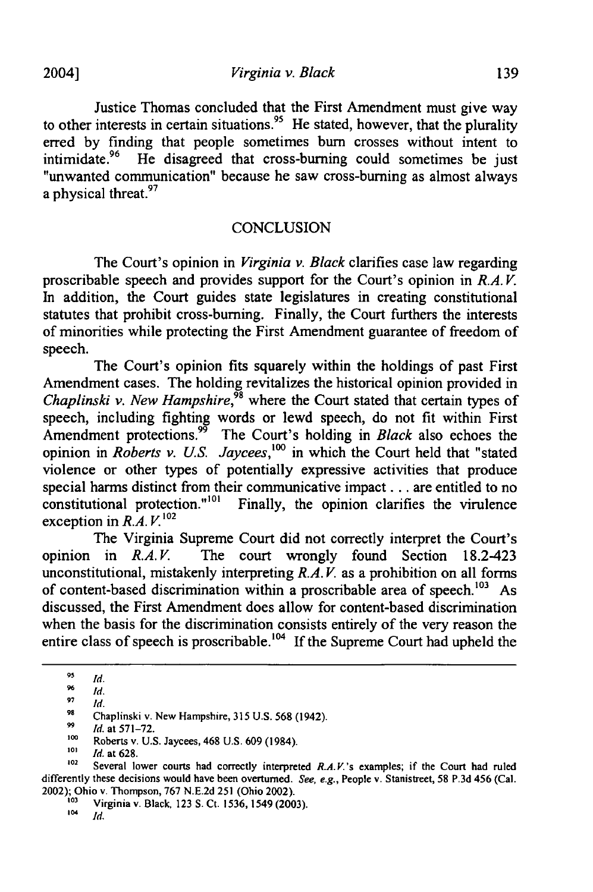*Virginia v. Black*

Justice Thomas concluded that the First Amendment must give way to other interests in certain situations.<sup>95</sup> He stated, however, that the plurality erred by finding that people sometimes bum crosses without intent to intimidate.<sup>96</sup> He disagreed that cross-burning could sometimes be just "unwanted communication" because he saw cross-burning as almost always a physical threat.<sup>97</sup>

#### **CONCLUSION**

The Court's opinion in *Virginia v. Black* clarifies case law regarding proscribable speech and provides support for the Court's opinion in *R.A. V.* In addition, the Court guides state legislatures in creating constitutional statutes that prohibit cross-burning. Finally, the Court furthers the interests of minorities while protecting the First Amendment guarantee of freedom of speech.

The Court's opinion fits squarely within the holdings of past First Amendment cases. The holding revitalizes the historical opinion provided in *Chaplinski v. New Hampshire*,<sup>98</sup> where the Court stated that certain types of speech, including fighting words or lewd speech, do not fit within First Amendment protections.<sup>99</sup> The Court's holding in *Black* also echoes the opinion in *Roberts v. US. Jaycees,'0°* in which the Court held that "stated violence or other types of potentially expressive activities that produce special harms distinct from their communicative impact... are entitled to no constitutional protection."<sup>101</sup> Finally, the opinion clarifies the virulence Finally, the opinion clarifies the virulence  $\alpha$  exception in  $R.A. V.$ <sup>102</sup>

The Virginia Supreme Court did not correctly interpret the Court's opinion in *R.A.V*. The court wrongly found Section 18.2-423 unconstitutional, mistakenly interpreting *R.A. V.* as a prohibition on all **forms** of content-based discrimination within a proscribable area of speech.<sup>103</sup> As discussed, the First Amendment does allow for content-based discrimination when the basis for the discrimination consists entirely of the very reason the entire class of speech is proscribable.<sup>104</sup> If the Supreme Court had upheld the

**<sup>95</sup>** *Id.*

 $\frac{96}{92}$  *Id.* 

**<sup>97</sup>** *Id.*

**<sup>98</sup>** Chaplinski v. New Hampshire, **315 U.S. 568** (1942).

**<sup>&</sup>quot;** *Id.* at **571-72.**

**<sup>1</sup>oo** Roberts v. **U.S.** Jaycees, 468 **U.S. 609** (1984).

**<sup>101</sup>** *Id.* at **628.**

**<sup>102</sup>** Several lower courts had correctly interpreted *R.A.V.'s* examples; if the Court had ruled differently these decisions would have been overturned. See, **e.g.,** People v. Stanistreet, **58 P.3d** 456 (Cal. 2002); Ohio v. Thompson, **767 N.E.2d 251** (Ohio 2002).

**<sup>103</sup>** Virginia v. Black, **123 S.** Ct. **1536,** 1549 **(2003).**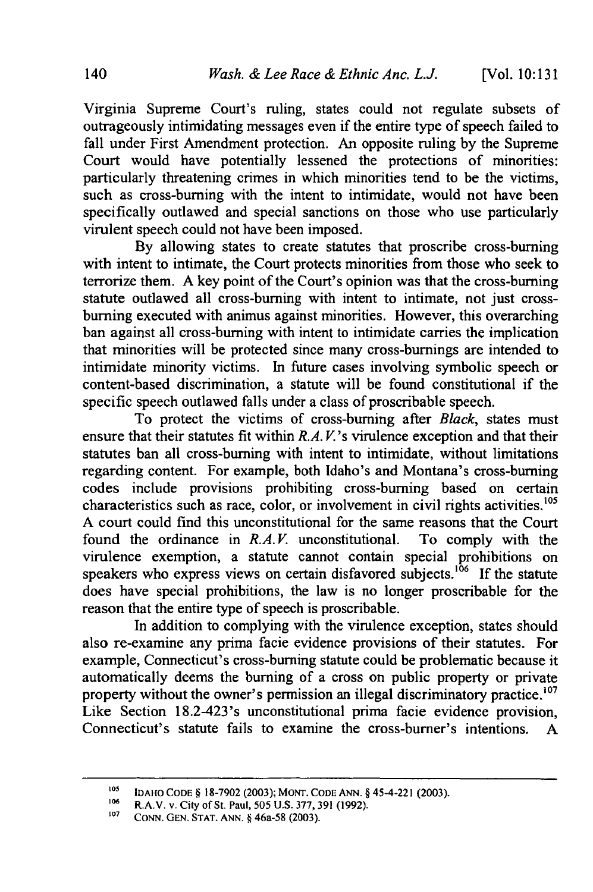Virginia Supreme Court's ruling, states could not regulate subsets of outrageously intimidating messages even if the entire type of speech failed to fall under First Amendment protection. An opposite ruling by the Supreme Court would have potentially lessened the protections of minorities: particularly threatening crimes in which minorities tend to be the victims, such as cross-burning with the intent to intimidate, would not have been specifically outlawed and special sanctions on those who use particularly virulent speech could not have been imposed.

By allowing states to create statutes that proscribe cross-burning with intent to intimate, the Court protects minorities from those who seek to terrorize them. A key point of the Court's opinion was that the cross-burning statute outlawed all cross-burning with intent to intimate, not just crossburning executed with animus against minorities. However, this overarching ban against all cross-burning with intent to intimidate carries the implication that minorities will be protected since many cross-burnings are intended to intimidate minority victims. In future cases involving symbolic speech or content-based discrimination, a statute will be found constitutional if the specific speech outlawed falls under a class of proscribable speech.

To protect the victims of cross-burning after *Black,* states must ensure that their statutes fit within *R.A. V.'s* virulence exception and that their statutes ban all cross-burning with intent to intimidate, without limitations regarding content. For example, both Idaho's and Montana's cross-burning codes include provisions prohibiting cross-burning based on certain characteristics such as race, color, or involvement in civil rights activities.<sup>105</sup> A court could find this unconstitutional for the same reasons that the Court found the ordinance in *R.A.V.* unconstitutional. To comply with the virulence exemption, a statute cannot contain special prohibitions on speakers who express views on certain disfavored subjects.<sup>106</sup> If the statute does have special prohibitions, the law is no longer proscribable for the reason that the entire type of speech is proscribable.

In addition to complying with the virulence exception, states should also re-examine any prima facie evidence provisions of their statutes. For example, Connecticut's cross-burning statute could be problematic because it automatically deems the burning of a cross on public property or private property without the owner's permission an illegal discriminatory practice.<sup>107</sup> Like Section 18.2-423's unconstitutional prima facie evidence provision, Connecticut's statute fails to examine the cross-burner's intentions. A

*<sup>105</sup>* **IDAHO** CODE § 18-7902 (2003); MONT. CODE ANN. § 45-4-221 (2003).

<sup>106</sup> R.A.V. v. City of St. Paul, 505 U.S. 377, 391 (1992).<br><sup>107</sup> CONN. GEN. STAT. ANN. § 46a-58 (2003).